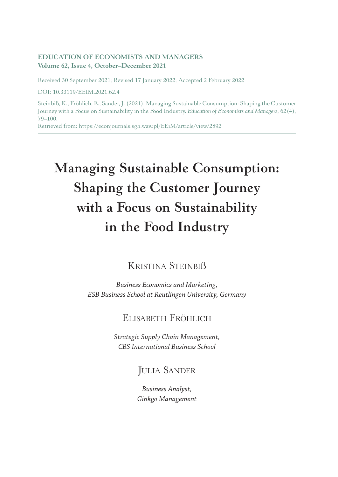#### **EDUCATION OF ECONOMISTS AND MANAGERS Volume 62, Issue 4, October–December 2021**

Received 30 September 2021; Revised 17 January 2022; Accepted 2 February 2022

DOI: 10.33119/EEIM.2021.62.4

Steinbiß, K., Fröhlich, E., Sander, J. (2021). Managing Sustainable Consumption: Shaping the Customer Journey with a Focus on Sustainability in the Food Industry. *Education of Economists and Managers*, 62(4), 79–100.

Retrieved from: https://econjournals.sgh.waw.pl/EEiM/article/view/2892

# **Managing Sustainable Consumption: Shaping the Customer Journey with a Focus on Sustainability in the Food Industry**

# Kristina Steinbiß

*Business Economics and Marketing, ESB Business School at Reutlingen University, Germany*

## Elisabeth Fröhlich

*Strategic Supply Chain Management, CBS International Business School*

# **JULIA SANDER**

*Business Analyst, Ginkgo Management*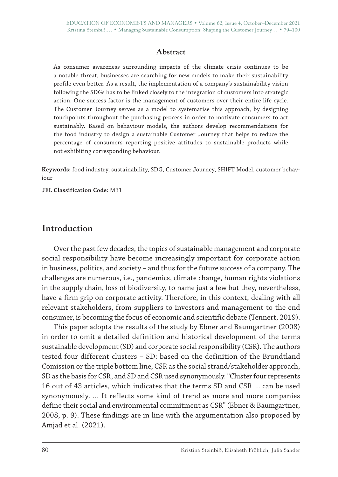#### **Abstract**

As consumer awareness surrounding impacts of the climate crisis continues to be a notable threat, businesses are searching for new models to make their sustainability profile even better. As a result, the implementation of a company's sustainability vision following the SDGs has to be linked closely to the integration of customers into strategic action. One success factor is the management of customers over their entire life cycle. The Customer Journey serves as a model to systematise this approach, by designing touchpoints throughout the purchasing process in order to motivate consumers to act sustainably. Based on behaviour models, the authors develop recommendations for the food industry to design a sustainable Customer Journey that helps to reduce the percentage of consumers reporting positive attitudes to sustainable products while not exhibiting corresponding behaviour.

**Keywords:** food industry, sustainability, SDG, Customer Journey, SHIFT Model, customer behaviour

**JEL Classification Code:** M31

## **Introduction**

Over the past few decades, the topics of sustainable management and corporate social responsibility have become increasingly important for corporate action in business, politics, and society – and thus for the future success of a company. The challenges are numerous, i.e., pandemics, climate change, human rights violations in the supply chain, loss of biodiversity, to name just a few but they, nevertheless, have a firm grip on corporate activity. Therefore, in this context, dealing with all relevant stakeholders, from suppliers to investors and management to the end consumer, is becoming the focus of economic and scientific debate (Tennert, 2019).

This paper adopts the results of the study by Ebner and Baumgartner (2008) in order to omit a detailed definition and historical development of the terms sustainable development (SD) and corporate social responsibility (CSR). The authors tested four different clusters – SD: based on the definition of the Brundtland Comission or the triple bottom line, CSR as the social strand/stakeholder approach, SD as the basis for CSR, and SD and CSR used synonymously. "Cluster four represents 16 out of 43 articles, which indicates that the terms SD and CSR … can be used synonymously. … It reflects some kind of trend as more and more companies define their social and environmental commitment as CSR" (Ebner & Baumgartner, 2008, p. 9). These findings are in line with the argumentation also proposed by Amjad et al. (2021).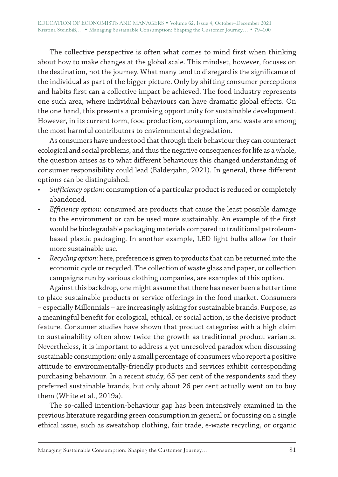The collective perspective is often what comes to mind first when thinking about how to make changes at the global scale. This mindset, however, focuses on the destination, not the journey. What many tend to disregard is the significance of the individual as part of the bigger picture. Only by shifting consumer perceptions and habits first can a collective impact be achieved. The food industry represents one such area, where individual behaviours can have dramatic global effects. On the one hand, this presents a promising opportunity for sustainable development. However, in its current form, food production, consumption, and waste are among the most harmful contributors to environmental degradation.

As consumers have understood that through their behaviour they can counteract ecological and social problems, and thus the negative consequences for life as a whole, the question arises as to what different behaviours this changed understanding of consumer responsibility could lead (Balderjahn, 2021). In general, three different options can be distinguished:

- *Sufficiency option*: consumption of a particular product is reduced or completely abandoned.
- *Efficiency option*: consumed are products that cause the least possible damage to the environment or can be used more sustainably. An example of the first would be biodegradable packaging materials compared to traditional petroleumbased plastic packaging. In another example, LED light bulbs allow for their more sustainable use.
- *Recycling option*: here, preference is given to products that can be returned into the economic cycle or recycled. The collection of waste glass and paper, or collection campaigns run by various clothing companies, are examples of this option.

Against this backdrop, one might assume that there has never been a better time to place sustainable products or service offerings in the food market. Consumers – especially Millennials – are increasingly asking for sustainable brands. Purpose, as a meaningful benefit for ecological, ethical, or social action, is the decisive product feature. Consumer studies have shown that product categories with a high claim to sustainability often show twice the growth as traditional product variants. Nevertheless, it is important to address a yet unresolved paradox when discussing sustainable consumption: only a small percentage of consumers who report a positive attitude to environmentally-friendly products and services exhibit corresponding purchasing behaviour. In a recent study, 65 per cent of the respondents said they preferred sustainable brands, but only about 26 per cent actually went on to buy them (White et al., 2019a).

The so-called intention-behaviour gap has been intensively examined in the previous literature regarding green consumption in general or focussing on a single ethical issue, such as sweatshop clothing, fair trade, e-waste recycling, or organic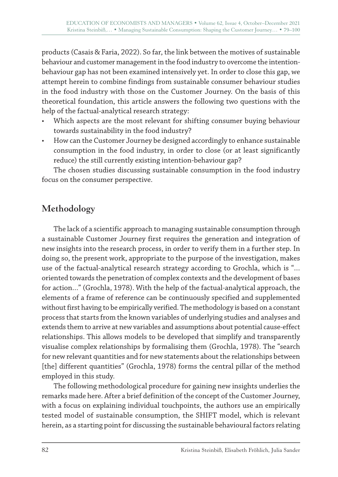products (Casais & Faria, 2022). So far, the link between the motives of sustainable behaviour and customer management in the food industry to overcome the intentionbehaviour gap has not been examined intensively yet. In order to close this gap, we attempt herein to combine findings from sustainable consumer behaviour studies in the food industry with those on the Customer Journey. On the basis of this theoretical foundation, this article answers the following two questions with the help of the factual-analytical research strategy:

- Which aspects are the most relevant for shifting consumer buying behaviour towards sustainability in the food industry?
- How can the Customer Journey be designed accordingly to enhance sustainable consumption in the food industry, in order to close (or at least significantly reduce) the still currently existing intention-behaviour gap?

The chosen studies discussing sustainable consumption in the food industry focus on the consumer perspective.

# **Methodology**

The lack of a scientific approach to managing sustainable consumption through a sustainable Customer Journey first requires the generation and integration of new insights into the research process, in order to verify them in a further step. In doing so, the present work, appropriate to the purpose of the investigation, makes use of the factual-analytical research strategy according to Grochla, which is "… oriented towards the penetration of complex contexts and the development of bases for action…" (Grochla, 1978). With the help of the factual-analytical approach, the elements of a frame of reference can be continuously specified and supplemented without first having to be empirically verified. The methodology is based on a constant process that starts from the known variables of underlying studies and analyses and extends them to arrive at new variables and assumptions about potential cause-effect relationships. This allows models to be developed that simplify and transparently visualise complex relationships by formalising them (Grochla, 1978). The "search for new relevant quantities and for new statements about the relationships between [the] different quantities" (Grochla, 1978) forms the central pillar of the method employed in this study.

The following methodological procedure for gaining new insights underlies the remarks made here. After a brief definition of the concept of the Customer Journey, with a focus on explaining individual touchpoints, the authors use an empirically tested model of sustainable consumption, the SHIFT model, which is relevant herein, as a starting point for discussing the sustainable behavioural factors relating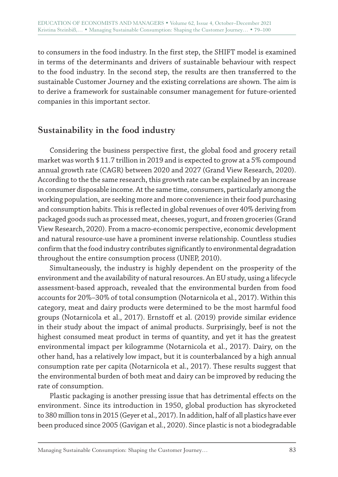to consumers in the food industry. In the first step, the SHIFT model is examined in terms of the determinants and drivers of sustainable behaviour with respect to the food industry. In the second step, the results are then transferred to the sustainable Customer Journey and the existing correlations are shown. The aim is to derive a framework for sustainable consumer management for future-oriented companies in this important sector.

## **Sustainability in the food industry**

Considering the business perspective first, the global food and grocery retail market was worth \$11.7 trillion in 2019 and is expected to grow at a 5% compound annual growth rate (CAGR) between 2020 and 2027 (Grand View Research, 2020). According to the the same research, this growth rate can be explained by an increase in consumer disposable income. At the same time, consumers, particularly among the working population, are seeking more and more convenience in their food purchasing and consumption habits. This is reflected in global revenues of over 40% deriving from packaged goods such as processed meat, cheeses, yogurt, and frozen groceries (Grand View Research, 2020). From a macro-economic perspective, economic development and natural resource-use have a prominent inverse relationship. Countless studies confirm that the food industry contributes significantly to environmental degradation throughout the entire consumption process (UNEP, 2010).

Simultaneously, the industry is highly dependent on the prosperity of the environment and the availability of natural resources. An EU study, using a lifecycle assessment-based approach, revealed that the environmental burden from food accounts for 20%–30% of total consumption (Notarnicola et al., 2017). Within this category, meat and dairy products were determined to be the most harmful food groups (Notarnicola et al., 2017). Ernstoff et al. (2019) provide similar evidence in their study about the impact of animal products. Surprisingly, beef is not the highest consumed meat product in terms of quantity, and yet it has the greatest environmental impact per kilogramme (Notarnicola et al., 2017). Dairy, on the other hand, has a relatively low impact, but it is counterbalanced by a high annual consumption rate per capita (Notarnicola et al., 2017). These results suggest that the environmental burden of both meat and dairy can be improved by reducing the rate of consumption.

Plastic packaging is another pressing issue that has detrimental effects on the environment. Since its introduction in 1950, global production has skyrocketed to 380 million tons in 2015 (Geyer et al., 2017). In addition, half of all plastics have ever been produced since 2005 (Gavigan et al., 2020). Since plastic is not a biodegradable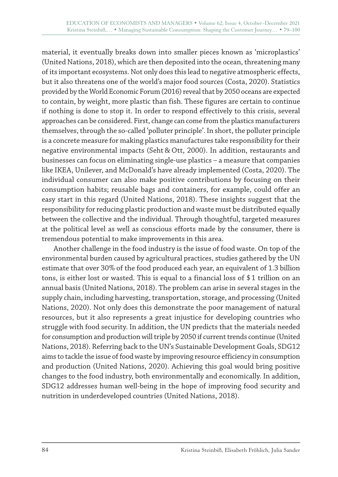material, it eventually breaks down into smaller pieces known as 'microplastics' (United Nations, 2018), which are then deposited into the ocean, threatening many of its important ecosystems. Not only does this lead to negative atmospheric effects, but it also threatens one of the world's major food sources (Costa, 2020). Statistics provided by the World Economic Forum (2016) reveal that by 2050 oceans are expected to contain, by weight, more plastic than fish. These figures are certain to continue if nothing is done to stop it. In order to respond effectively to this crisis, several approaches can be considered. First, change can come from the plastics manufacturers themselves, through the so-called 'polluter principle'. In short, the polluter principle is a concrete measure for making plastics manufactures take responsibility for their negative environmental impacts (Seht & Ott, 2000). In addition, restaurants and businesses can focus on eliminating single-use plastics – a measure that companies like IKEA, Unilever, and McDonald's have already implemented (Costa, 2020). The individual consumer can also make positive contributions by focusing on their consumption habits; reusable bags and containers, for example, could offer an easy start in this regard (United Nations, 2018). These insights suggest that the responsibility for reducing plastic production and waste must be distributed equally between the collective and the individual. Through thoughtful, targeted measures at the political level as well as conscious efforts made by the consumer, there is tremendous potential to make improvements in this area.

Another challenge in the food industry is the issue of food waste. On top of the environmental burden caused by agricultural practices, studies gathered by the UN estimate that over 30% of the food produced each year, an equivalent of 1.3 billion tons, is either lost or wasted. This is equal to a financial loss of \$1 trillion on an annual basis (United Nations, 2018). The problem can arise in several stages in the supply chain, including harvesting, transportation, storage, and processing (United Nations, 2020). Not only does this demonstrate the poor management of natural resources, but it also represents a great injustice for developing countries who struggle with food security. In addition, the UN predicts that the materials needed for consumption and production will triple by 2050 if current trends continue (United Nations, 2018). Referring back to the UN's Sustainable Development Goals, SDG12 aims to tackle the issue of food waste by improving resource efficiency in consumption and production (United Nations, 2020). Achieving this goal would bring positive changes to the food industry, both environmentally and economically. In addition, SDG12 addresses human well-being in the hope of improving food security and nutrition in underdeveloped countries (United Nations, 2018).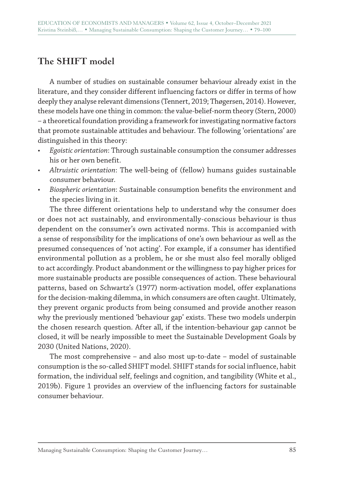# **The SHIFT model**

A number of studies on sustainable consumer behaviour already exist in the literature, and they consider different influencing factors or differ in terms of how deeply they analyse relevant dimensions (Tennert, 2019; Thøgersen, 2014). However, these models have one thing in common: the value-belief-norm theory (Stern, 2000) – a theoretical foundation providing a framework for investigating normative factors that promote sustainable attitudes and behaviour. The following 'orientations' are distinguished in this theory:

- *Egoistic orientation*: Through sustainable consumption the consumer addresses his or her own benefit.
- *Altruistic orientation*: The well-being of (fellow) humans guides sustainable consumer behaviour.
- *Biospheric orientation*: Sustainable consumption benefits the environment and the species living in it.

The three different orientations help to understand why the consumer does or does not act sustainably, and environmentally-conscious behaviour is thus dependent on the consumer's own activated norms. This is accompanied with a sense of responsibility for the implications of one's own behaviour as well as the presumed consequences of 'not acting'. For example, if a consumer has identified environmental pollution as a problem, he or she must also feel morally obliged to act accordingly. Product abandonment or the willingness to pay higher prices for more sustainable products are possible consequences of action. These behavioural patterns, based on Schwartz's (1977) norm-activation model, offer explanations for the decision-making dilemma, in which consumers are often caught. Ultimately, they prevent organic products from being consumed and provide another reason why the previously mentioned 'behaviour gap' exists. These two models underpin the chosen research question. After all, if the intention-behaviour gap cannot be closed, it will be nearly impossible to meet the Sustainable Development Goals by 2030 (United Nations, 2020).

The most comprehensive – and also most up-to-date – model of sustainable consumption is the so-called SHIFT model. SHIFT stands for social influence, habit formation, the individual self, feelings and cognition, and tangibility (White et al., 2019b). Figure 1 provides an overview of the influencing factors for sustainable consumer behaviour.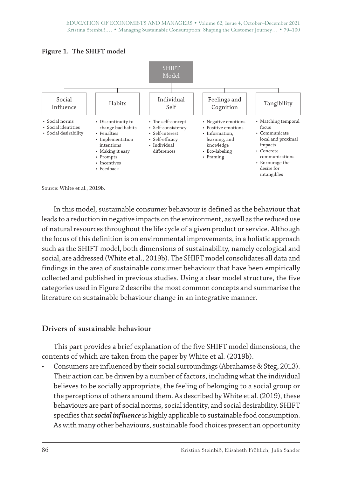



Source: White et al., 2019b.

In this model, sustainable consumer behaviour is defined as the behaviour that leads to a reduction in negative impacts on the environment, as well as the reduced use of natural resources throughout the life cycle of a given product or service. Although the focus of this definition is on environmental improvements, in a holistic approach such as the SHIFT model, both dimensions of sustainability, namely ecological and social, are addressed (White et al., 2019b). The SHIFT model consolidates all data and findings in the area of sustainable consumer behaviour that have been empirically collected and published in previous studies. Using a clear model structure, the five categories used in Figure 2 describe the most common concepts and summarise the literature on sustainable behaviour change in an integrative manner.

#### **Drivers of sustainable behaviour**

This part provides a brief explanation of the five SHIFT model dimensions, the contents of which are taken from the paper by White et al. (2019b).

• Consumers are influenced by their social surroundings (Abrahamse & Steg, 2013). Their action can be driven by a number of factors, including what the individual believes to be socially appropriate, the feeling of belonging to a social group or the perceptions of others around them. As described by White et al. (2019), these behaviours are part of social norms, social identity, and social desirability. SHIFT specifies that *social influence* is highly applicable to sustainable food consumption. As with many other behaviours, sustainable food choices present an opportunity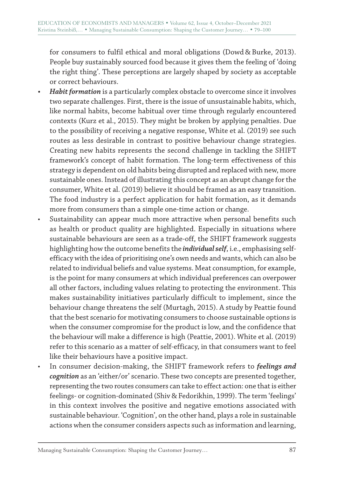for consumers to fulfil ethical and moral obligations (Dowd & Burke, 2013). People buy sustainably sourced food because it gives them the feeling of 'doing the right thing'. These perceptions are largely shaped by society as acceptable or correct behaviours.

- *• Habit formation* is a particularly complex obstacle to overcome since it involves two separate challenges. First, there is the issue of unsustainable habits, which, like normal habits, become habitual over time through regularly encountered contexts (Kurz et al., 2015). They might be broken by applying penalties. Due to the possibility of receiving a negative response, White et al. (2019) see such routes as less desirable in contrast to positive behaviour change strategies. Creating new habits represents the second challenge in tackling the SHIFT framework's concept of habit formation. The long-term effectiveness of this strategy is dependent on old habits being disrupted and replaced with new, more sustainable ones. Instead of illustrating this concept as an abrupt change for the consumer, White et al. (2019) believe it should be framed as an easy transition. The food industry is a perfect application for habit formation, as it demands more from consumers than a simple one-time action or change.
- Sustainability can appear much more attractive when personal benefits such as health or product quality are highlighted. Especially in situations where sustainable behaviours are seen as a trade-off, the SHIFT framework suggests highlighting how the outcome benefits the *individual self*, i.e., emphasising selfefficacy with the idea of prioritising one's own needs and wants, which can also be related to individual beliefs and value systems. Meat consumption, for example, is the point for many consumers at which individual preferences can overpower all other factors, including values relating to protecting the environment. This makes sustainability initiatives particularly difficult to implement, since the behaviour change threatens the self (Murtagh, 2015). A study by Peattie found that the best scenario for motivating consumers to choose sustainable options is when the consumer compromise for the product is low, and the confidence that the behaviour will make a difference is high (Peattie, 2001). White et al. (2019) refer to this scenario as a matter of self-efficacy, in that consumers want to feel like their behaviours have a positive impact.
- In consumer decision-making, the SHIFT framework refers to *feelings and cognition* as an 'either/or' scenario. These two concepts are presented together, representing the two routes consumers can take to effect action: one that is either feelings- or cognition-dominated (Shiv & Fedorikhin, 1999). The term 'feelings' in this context involves the positive and negative emotions associated with sustainable behaviour. 'Cognition', on the other hand, plays a role in sustainable actions when the consumer considers aspects such as information and learning,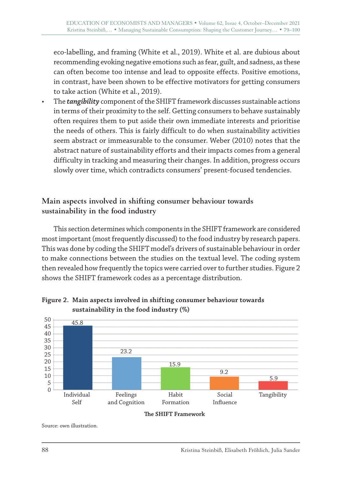eco-labelling, and framing (White et al., 2019). White et al. are dubious about recommending evoking negative emotions such as fear, guilt, and sadness, as these can often become too intense and lead to opposite effects. Positive emotions, in contrast, have been shown to be effective motivators for getting consumers to take action (White et al., 2019).

• The *tangibility* component of the SHIFT framework discusses sustainable actions in terms of their proximity to the self. Getting consumers to behave sustainably often requires them to put aside their own immediate interests and prioritise the needs of others. This is fairly difficult to do when sustainability activities seem abstract or immeasurable to the consumer. Weber (2010) notes that the abstract nature of sustainability efforts and their impacts comes from a general difficulty in tracking and measuring their changes. In addition, progress occurs slowly over time, which contradicts consumers' present-focused tendencies.

#### **Main aspects involved in shifting consumer behaviour towards sustainability in the food industry**

This section determines which components in the SHIFT framework are considered most important (most frequently discussed) to the food industry by research papers. This was done by coding the SHIFT model's drivers of sustainable behaviour in order to make connections between the studies on the textual level. The coding system then revealed how frequently the topics were carried over to further studies. Figure 2 shows the SHIFT framework codes as a percentage distribution.



#### **Figure 2. Main aspects involved in shifting consumer behaviour towards sustainability in the food industry (%)**

**e SHIFT Framework**

Source: own illustration.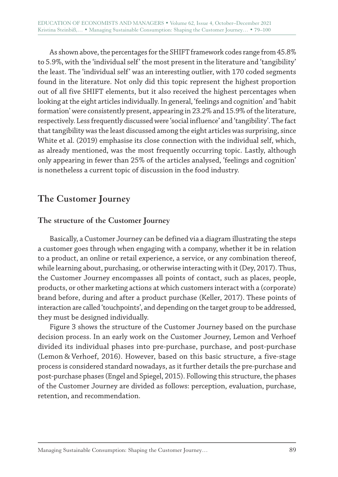As shown above, the percentages for the SHIFT framework codes range from 45.8% to 5.9%, with the 'individual self' the most present in the literature and 'tangibility' the least. The 'individual self' was an interesting outlier, with 170 coded segments found in the literature. Not only did this topic represent the highest proportion out of all five SHIFT elements, but it also received the highest percentages when looking at the eight articles individually. In general, 'feelings and cognition' and 'habit formation' were consistently present, appearing in 23.2% and 15.9% of the literature, respectively. Less frequently discussed were 'social influence' and 'tangibility'. The fact that tangibility was the least discussed among the eight articles was surprising, since White et al. (2019) emphasise its close connection with the individual self, which, as already mentioned, was the most frequently occurring topic. Lastly, although only appearing in fewer than 25% of the articles analysed, 'feelings and cognition' is nonetheless a current topic of discussion in the food industry.

# **The Customer Journey**

#### **The structure of the Customer Journey**

Basically, a Customer Journey can be defined via a diagram illustrating the steps a customer goes through when engaging with a company, whether it be in relation to a product, an online or retail experience, a service, or any combination thereof, while learning about, purchasing, or otherwise interacting with it (Dey, 2017). Thus, the Customer Journey encompasses all points of contact, such as places, people, products, or other marketing actions at which customers interact with a (corporate) brand before, during and after a product purchase (Keller, 2017). These points of interaction are called 'touchpoints', and depending on the target group to be addressed, they must be designed individually.

Figure 3 shows the structure of the Customer Journey based on the purchase decision process. In an early work on the Customer Journey, Lemon and Verhoef divided its individual phases into pre-purchase, purchase, and post-purchase (Lemon & Verhoef, 2016). However, based on this basic structure, a five-stage process is considered standard nowadays, as it further details the pre-purchase and post-purchase phases (Engel and Spiegel, 2015). Following this structure, the phases of the Customer Journey are divided as follows: perception, evaluation, purchase, retention, and recommendation.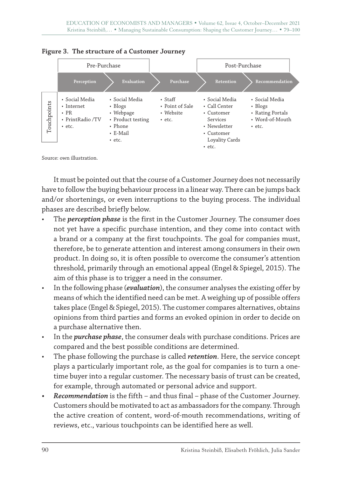



Source: own illustration.

It must be pointed out that the course of a Customer Journey does not necessarily have to follow the buying behaviour process in a linear way. There can be jumps back and/or shortenings, or even interruptions to the buying process. The individual phases are described briefly below.

- The *perception phase* is the first in the Customer Journey. The consumer does not yet have a specific purchase intention, and they come into contact with a brand or a company at the first touchpoints. The goal for companies must, therefore, be to generate attention and interest among consumers in their own product. In doing so, it is often possible to overcome the consumer's attention threshold, primarily through an emotional appeal (Engel & Spiegel, 2015). The aim of this phase is to trigger a need in the consumer.
- In the following phase (*evaluation*), the consumer analyses the existing offer by means of which the identified need can be met. A weighing up of possible offers takes place (Engel & Spiegel, 2015). The customer compares alternatives, obtains opinions from third parties and forms an evoked opinion in order to decide on a purchase alternative then.
- In the *purchase phase*, the consumer deals with purchase conditions. Prices are compared and the best possible conditions are determined.
- The phase following the purchase is called *retention*. Here, the service concept plays a particularly important role, as the goal for companies is to turn a onetime buyer into a regular customer. The necessary basis of trust can be created, for example, through automated or personal advice and support.
- *• Recommendation* is the fifth and thus final phase of the Customer Journey. Customers should be motivated to act as ambassadors for the company. Through the active creation of content, word-of-mouth recommendations, writing of reviews, etc., various touchpoints can be identified here as well.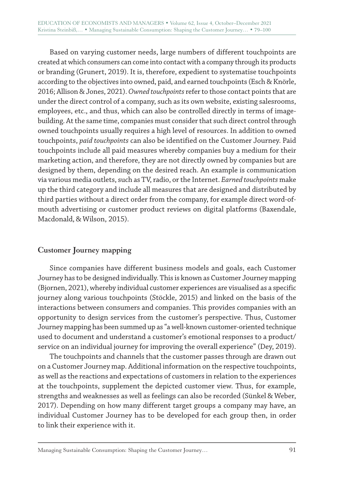Based on varying customer needs, large numbers of different touchpoints are created at which consumers can come into contact with a company through its products or branding (Grunert, 2019). It is, therefore, expedient to systematise touchpoints according to the objectives into owned, paid, and earned touchpoints (Esch & Knörle, 2016; Allison & Jones, 2021). *Owned touchpoints* refer to those contact points that are under the direct control of a company, such as its own website, existing salesrooms, employees, etc., and thus, which can also be controlled directly in terms of imagebuilding. At the same time, companies must consider that such direct control through owned touchpoints usually requires a high level of resources. In addition to owned touchpoints, *paid touchpoints* can also be identified on the Customer Journey. Paid touchpoints include all paid measures whereby companies buy a medium for their marketing action, and therefore, they are not directly owned by companies but are designed by them, depending on the desired reach. An example is communication via various media outlets, such as TV, radio, or the Internet. *Earned touchpoints* make up the third category and include all measures that are designed and distributed by third parties without a direct order from the company, for example direct word-ofmouth advertising or customer product reviews on digital platforms (Baxendale, Macdonald, & Wilson, 2015).

## **Customer Journey mapping**

Since companies have different business models and goals, each Customer Journey has to be designed individually. This is known as Customer Journey mapping (Bjornen, 2021), whereby individual customer experiences are visualised as a specific journey along various touchpoints (Stöckle, 2015) and linked on the basis of the interactions between consumers and companies. This provides companies with an opportunity to design services from the customer's perspective. Thus, Customer Journey mapping has been summed up as "a well-known customer-oriented technique used to document and understand a customer's emotional responses to a product/ service on an individual journey for improving the overall experience" (Dey, 2019).

The touchpoints and channels that the customer passes through are drawn out on a Customer Journey map. Additional information on the respective touchpoints, as well as the reactions and expectations of customers in relation to the experiences at the touchpoints, supplement the depicted customer view. Thus, for example, strengths and weaknesses as well as feelings can also be recorded (Sünkel & Weber, 2017). Depending on how many different target groups a company may have, an individual Customer Journey has to be developed for each group then, in order to link their experience with it.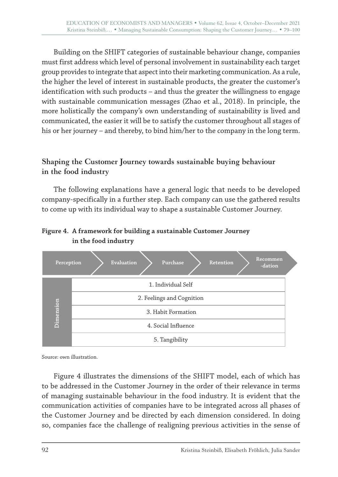Building on the SHIFT categories of sustainable behaviour change, companies must first address which level of personal involvement in sustainability each target group provides to integrate that aspect into their marketing communication. As a rule, the higher the level of interest in sustainable products, the greater the customer's identification with such products – and thus the greater the willingness to engage with sustainable communication messages (Zhao et al., 2018). In principle, the more holistically the company's own understanding of sustainability is lived and communicated, the easier it will be to satisfy the customer throughout all stages of his or her journey – and thereby, to bind him/her to the company in the long term.

## **Shaping the Customer Journey towards sustainable buying behaviour in the food industry**

The following explanations have a general logic that needs to be developed company-specifically in a further step. Each company can use the gathered results to come up with its individual way to shape a sustainable Customer Journey.

#### **Figure 4. A framework for building a sustainable Customer Journey in the food industry**



Source: own illustration.

Figure 4 illustrates the dimensions of the SHIFT model, each of which has to be addressed in the Customer Journey in the order of their relevance in terms of managing sustainable behaviour in the food industry. It is evident that the communication activities of companies have to be integrated across all phases of the Customer Journey and be directed by each dimension considered. In doing so, companies face the challenge of realigning previous activities in the sense of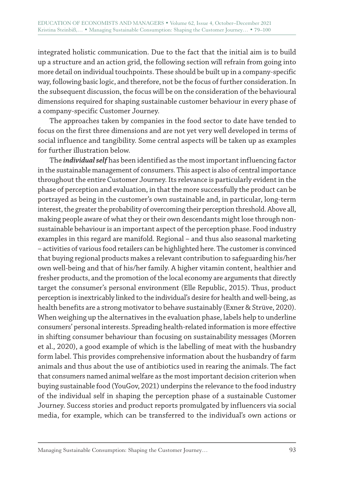integrated holistic communication. Due to the fact that the initial aim is to build up a structure and an action grid, the following section will refrain from going into more detail on individual touchpoints. These should be built up in a company-specific way, following basic logic, and therefore, not be the focus of further consideration. In the subsequent discussion, the focus will be on the consideration of the behavioural dimensions required for shaping sustainable customer behaviour in every phase of a company-specific Customer Journey.

The approaches taken by companies in the food sector to date have tended to focus on the first three dimensions and are not yet very well developed in terms of social influence and tangibility. Some central aspects will be taken up as examples for further illustration below.

The *individual self* has been identified as the most important influencing factor in the sustainable management of consumers. This aspect is also of central importance throughout the entire Customer Journey. Its relevance is particularly evident in the phase of perception and evaluation, in that the more successfully the product can be portrayed as being in the customer's own sustainable and, in particular, long-term interest, the greater the probability of overcoming their perception threshold. Above all, making people aware of what they or their own descendants might lose through nonsustainable behaviour is an important aspect of the perception phase. Food industry examples in this regard are manifold. Regional – and thus also seasonal marketing – activities of various food retailers can be highlighted here. The customer is convinced that buying regional products makes a relevant contribution to safeguarding his/her own well-being and that of his/her family. A higher vitamin content, healthier and fresher products, and the promotion of the local economy are arguments that directly target the consumer's personal environment (Elle Republic, 2015). Thus, product perception is inextricably linked to the individual's desire for health and well-being, as health benefits are a strong motivator to behave sustainably (Exner & Strüve, 2020). When weighing up the alternatives in the evaluation phase, labels help to underline consumers' personal interests. Spreading health-related information is more effective in shifting consumer behaviour than focusing on sustainability messages (Morren et al., 2020), a good example of which is the labelling of meat with the husbandry form label. This provides comprehensive information about the husbandry of farm animals and thus about the use of antibiotics used in rearing the animals. The fact that consumers named animal welfare as the most important decision criterion when buying sustainable food (YouGov, 2021) underpins the relevance to the food industry of the individual self in shaping the perception phase of a sustainable Customer Journey. Success stories and product reports promulgated by influencers via social media, for example, which can be transferred to the individual's own actions or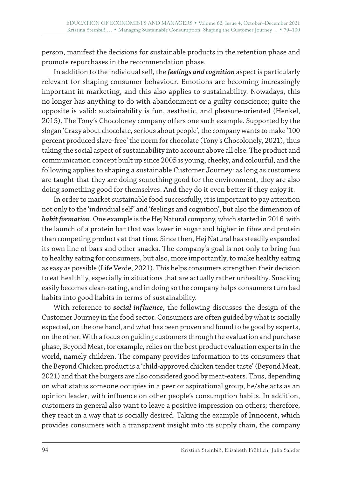person, manifest the decisions for sustainable products in the retention phase and promote repurchases in the recommendation phase.

In addition to the individual self, the *feelings and cognition* aspect is particularly relevant for shaping consumer behaviour. Emotions are becoming increasingly important in marketing, and this also applies to sustainability. Nowadays, this no longer has anything to do with abandonment or a guilty conscience; quite the opposite is valid: sustainability is fun, aesthetic, and pleasure-oriented (Henkel, 2015). The Tony's Chocoloney company offers one such example. Supported by the slogan 'Crazy about chocolate, serious about people', the company wants to make '100 percent produced slave-free' the norm for chocolate (Tony's Chocolonely, 2021), thus taking the social aspect of sustainability into account above all else. The product and communication concept built up since 2005 is young, cheeky, and colourful, and the following applies to shaping a sustainable Customer Journey: as long as customers are taught that they are doing something good for the environment, they are also doing something good for themselves. And they do it even better if they enjoy it.

In order to market sustainable food successfully, it is important to pay attention not only to the 'individual self' and 'feelings and cognition', but also the dimension of *habit formation*. One example is the Hej Natural company, which started in 2016 with the launch of a protein bar that was lower in sugar and higher in fibre and protein than competing products at that time. Since then, Hej Natural has steadily expanded its own line of bars and other snacks. The company's goal is not only to bring fun to healthy eating for consumers, but also, more importantly, to make healthy eating as easy as possible (Life Verde, 2021). This helps consumers strengthen their decision to eat healthily, especially in situations that are actually rather unhealthy. Snacking easily becomes clean-eating, and in doing so the company helps consumers turn bad habits into good habits in terms of sustainability.

With reference to *social influence*, the following discusses the design of the Customer Journey in the food sector. Consumers are often guided by what is socially expected, on the one hand, and what has been proven and found to be good by experts, on the other. With a focus on guiding customers through the evaluation and purchase phase, Beyond Meat, for example, relies on the best product evaluation experts in the world, namely children. The company provides information to its consumers that the Beyond Chicken product is a 'child-approved chicken tender taste' (Beyond Meat, 2021) and that the burgers are also considered good by meat-eaters. Thus, depending on what status someone occupies in a peer or aspirational group, he/she acts as an opinion leader, with influence on other people's consumption habits. In addition, customers in general also want to leave a positive impression on others; therefore, they react in a way that is socially desired. Taking the example of Innocent, which provides consumers with a transparent insight into its supply chain, the company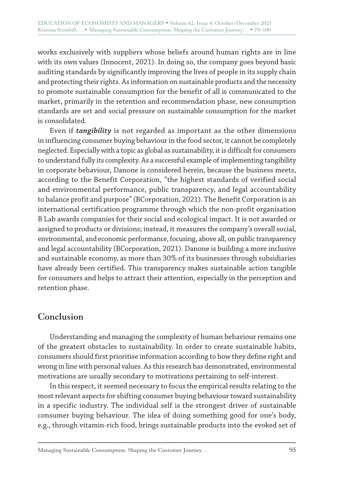works exclusively with suppliers whose beliefs around human rights are in line with its own values (Innocent, 2021). In doing so, the company goes beyond basic auditing standards by significantly improving the lives of people in its supply chain and protecting their rights. As information on sustainable products and the necessity to promote sustainable consumption for the benefit of all is communicated to the market, primarily in the retention and recommendation phase, new consumption standards are set and social pressure on sustainable consumption for the market is consolidated.

Even if *tangibility* is not regarded as important as the other dimensions in influencing consumer buying behaviour in the food sector, it cannot be completely neglected. Especially with a topic as global as sustainability, it is difficult for consumers to understand fully its complexity. As a successful example of implementing tangibility in corporate behaviour, Danone is considered herein, because the business meets, according to the Benefit Corporation, "the highest standards of verified social and environmental performance, public transparency, and legal accountability to balance profit and purpose" (BCorporation, 2021). The Benefit Corporation is an international certification programme through which the non-profit organisation B Lab awards companies for their social and ecological impact. It is not awarded or assigned to products or divisions; instead, it measures the company's overall social, environmental, and economic performance, focusing, above all, on public transparency and legal accountability (BCorporation, 2021). Danone is building a more inclusive and sustainable economy, as more than 30% of its businesses through subsidiaries have already been certified. This transparency makes sustainable action tangible for consumers and helps to attract their attention, especially in the perception and retention phase.

# **Conclusion**

Understanding and managing the complexity of human behaviour remains one of the greatest obstacles to sustainability. In order to create sustainable habits, consumers should first prioritise information according to how they define right and wrong in line with personal values. As this research has demonstrated, environmental motivations are usually secondary to motivations pertaining to self-interest.

In this respect, it seemed necessary to focus the empirical results relating to the most relevant aspects for shifting consumer buying behaviour toward sustainability in a specific industry. The individual self is the strongest driver of sustainable consumer buying behaviour. The idea of doing something good for one's body, e.g., through vitamin-rich food, brings sustainable products into the evoked set of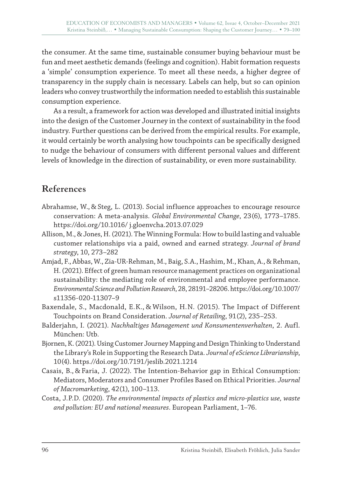the consumer. At the same time, sustainable consumer buying behaviour must be fun and meet aesthetic demands (feelings and cognition). Habit formation requests a 'simple' consumption experience. To meet all these needs, a higher degree of transparency in the supply chain is necessary. Labels can help, but so can opinion leaders who convey trustworthily the information needed to establish this sustainable consumption experience.

As a result, a framework for action was developed and illustrated initial insights into the design of the Customer Journey in the context of sustainability in the food industry. Further questions can be derived from the empirical results. For example, it would certainly be worth analysing how touchpoints can be specifically designed to nudge the behaviour of consumers with different personal values and different levels of knowledge in the direction of sustainability, or even more sustainability.

# **References**

- Abrahamse, W., & Steg, L. (2013). Social influence approaches to encourage resource conservation: A meta-analysis. *Global Environmental Change*, 23(6), 1773–1785. https://doi.org/10.1016/ j.gloenvcha.2013.07.029
- Allison, M., & Jones, H. (2021). The Winning Formula: How to build lasting and valuable customer relationships via a paid, owned and earned strategy. *Journal of brand strategy*, 10, 273–282
- Amjad, F., Abbas, W., Zia-UR-Rehman, M., Baig, S.A., Hashim, M., Khan, A., & Rehman, H. (2021). Effect of green human resource management practices on organizational sustainability: the mediating role of environmental and employee performance. *Environmental Science and Pollution Research*, 28, 28191–28206. https://doi.org/10.1007/ s11356-020-11307–9
- Baxendale, S., Macdonald, E.K., & Wilson, H.N. (2015). The Impact of Different Touchpoints on Brand Consideration. *Journal of Retailing*, 91(2), 235–253.
- Balderjahn, I. (2021). *Nachhaltiges Management und Konsumentenverhalten*, 2. Aufl. München: Utb.
- Bjornen, K. (2021). Using Customer Journey Mapping and Design Thinking to Understand the Library's Role in Supporting the Research Data. *Journal of eScience Librarianship*, 10(4). https.//doi.org/10.7191/jeslib.2021.1214
- Casais, B., & Faria, J. (2022). The Intention-Behavior gap in Ethical Consumption: Mediators, Moderators and Consumer Profiles Based on Ethical Priorities. *Journal of Macromarketing*, 42(1), 100–113.
- Costa, J.P.D. (2020). *The environmental impacts of plastics and micro-plastics use, waste and pollution: EU and national measures*. European Parliament, 1–76.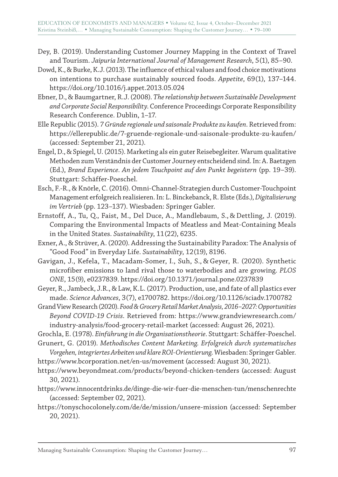- Dey, B. (2019). Understanding Customer Journey Mapping in the Context of Travel and Tourism. *Jaipuria International Journal of Management Research*, 5(1), 85–90.
- Dowd, K., & Burke, K.J. (2013). The influence of ethical values and food choice motivations on intentions to purchase sustainably sourced foods. *Appetite*, 69(1), 137–144. https://doi.org/10.1016/j.appet.2013.05.024
- Ebner, D., & Baumgartner, R.J. (2008). *The relationship between Sustainable Development and Corporate Social Responsibility*. Conference Proceedings Corporate Responsibility Research Conference. Dublin, 1–17.
- Elle Republic (2015). *7 Gründe regionale und saisonale Produkte zu kaufen*. Retrieved from: https://ellerepublic.de/7-gruende-regionale-und-saisonale-produkte-zu-kaufen/ (accessed: September 21, 2021).
- Engel, D., & Spiegel, U. (2015). Marketing als ein guter Reisebegleiter. Warum qualitative Methoden zum Verständnis der Customer Journey entscheidend sind. In: A. Baetzgen (Ed.), *Brand Experience. An jedem Touchpoint auf den Punkt begeistern* (pp. 19–39). Stuttgart: Schäffer-Poeschel.
- Esch, F.-R., & Knörle, C. (2016). Omni-Channel-Strategien durch Customer-Touchpoint Management erfolgreich realisieren. In: L. Binckebanck, R. Elste (Eds.), *Digitalisierung im Vertrieb* (pp. 123–137). Wiesbaden: Springer Gabler.
- Ernstoff, A., Tu, Q., Faist, M., Del Duce, A., Mandlebaum, S., & Dettling, J. (2019). Comparing the Environmental Impacts of Meatless and Meat-Containing Meals in the United States. *Sustainability*, 11(22), 6235.
- Exner, A., & Strüver, A. (2020). Addressing the Sustainability Paradox: The Analysis of "Good Food" in Everyday Life. *Sustainability*, 12(19), 8196.
- Gavigan, J., Kefela, T., Macadam-Somer, I., Suh, S., & Geyer, R. (2020). Synthetic microfiber emissions to land rival those to waterbodies and are growing. *PLOS ONE*, 15(9), e0237839. https://doi.org/10.1371/journal.pone.0237839
- Geyer, R., Jambeck, J.R., & Law, K.L. (2017). Production, use, and fate of all plastics ever made. *Science Advances*, 3(7), e1700782. https://doi.org/10.1126/sciadv.1700782
- Grand View Research (2020). *Food&Grocery Retail Market Analysis, 2016–2027: Opportunities Beyond COVID-19 Crisis*. Retrieved from: https://www.grandviewresearch.com/ industry-analysis/food-grocery-retail-market (accessed: August 26, 2021).

Grochla, E. (1978). *Einführung in die Organisationstheorie*. Stuttgart: Schäffer-Poeschel.

- Grunert, G. (2019). *Methodisches Content Marketing. Erfolgreich durch systematisches Vorgehen, integriertes Arbeiten und klare ROI-Orientierung*. Wiesbaden: Springer Gabler.
- https://www.bcorporation.net/en-us/movement (accessed: August 30, 2021).
- https://www.beyondmeat.com/products/beyond-chicken-tenders (accessed: August 30, 2021).
- https://www.innocentdrinks.de/dinge-die-wir-fuer-die-menschen-tun/menschenrechte (accessed: September 02, 2021).
- https://tonyschocolonely.com/de/de/mission/unsere-mission (accessed: September 20, 2021).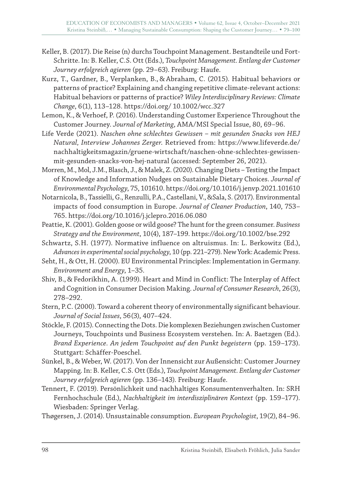- Keller, B. (2017). Die Reise (n) durchs Touchpoint Management. Bestandteile und Fort-Schritte. In: B. Keller, C.S. Ott (Eds.), *Touchpoint Management. Entlang der Customer Journey erfolgreich agieren* (pp. 29–63). Freiburg: Haufe.
- Kurz, T., Gardner, B., Verplanken, B., & Abraham, C. (2015). Habitual behaviors or patterns of practice? Explaining and changing repetitive climate-relevant actions: Habitual behaviors or patterns of practice? *Wiley Interdisciplinary Reviews: Climate Change*, 6(1), 113–128. https://doi.org/ 10.1002/wcc.327
- Lemon, K., & Verhoef, P. (2016). Understanding Customer Experience Throughout the Customer Journey. *Journal of Marketing*, AMA/MSI Special Issue, 80, 69–96.
- Life Verde (2021). *Naschen ohne schlechtes Gewissen mit gesunden Snacks von HEJ Natural, Interview Johannes Zerger*. Retrieved from: https://www.lifeverde.de/ nachhaltigkeitsmagazin/gruene-wirtschaft/naschen-ohne-schlechtes-gewissenmit-gesunden-snacks-von-hej-natural (accessed: September 26, 2021).
- Morren, M., Mol, J.M., Blasch, J., & Malek, Z. (2020). Changing Diets Testing the Impact of Knowledge and Information Nudges on Sustainable Dietary Choices. *Journal of Environmental Psychology*, 75, 101610. https://doi.org/10.1016/j.jenvp.2021.101610
- Notarnicola, B., Tassielli, G., Renzulli, P.A., Castellani, V., &Sala, S. (2017). Environmental impacts of food consumption in Europe. *Journal of Cleaner Production*, 140, 753– 765. https://doi.org/10.1016/j.jclepro.2016.06.080
- Peattie, K. (2001). Golden goose or wild goose? The hunt for the green consumer. *Business Strategy and the Environment*, 10(4), 187–199. https://doi.org/10.1002/bse.292
- Schwartz, S.H. (1977). Normative influence on altruismus. In: L. Berkowitz (Ed.), *Advances in experimental social psychology*, 10 (pp. 221–279). New York: Academic Press.
- Seht, H., & Ott, H. (2000). EU Environmental Principles: Implementation in Germany. *Environment and Energy*, 1–35.
- Shiv, B., & Fedorikhin, A. (1999). Heart and Mind in Conflict: The Interplay of Affect and Cognition in Consumer Decision Making. *Journal of Consumer Research*, 26(3), 278–292.
- Stern, P.C. (2000). Toward a coherent theory of environmentally significant behaviour. *Journal of Social Issues*, 56(3), 407–424.
- Stöckle, F. (2015). Connecting the Dots. Die komplexen Beziehungen zwischen Customer Journeys, Touchpoints und Business Ecosystem verstehen. In: A. Baetzgen (Ed.). *Brand Experience. An jedem Touchpoint auf den Punkt begeistern* (pp. 159–173). Stuttgart: Schäffer-Poeschel.
- Sünkel, B., & Weber, W. (2017). Von der Innensicht zur Außensicht: Customer Journey Mapping. In: B. Keller, C.S. Ott (Eds.), *Touchpoint Management. Entlang der Customer Journey erfolgreich agieren* (pp. 136–143). Freiburg: Haufe.
- Tennert, F. (2019). Persönlichkeit und nachhaltiges Konsumentenverhalten. In: SRH Fernhochschule (Ed.), *Nachhaltigkeit im interdisziplinären Kontext* (pp. 159–177). Wiesbaden: Springer Verlag.
- Thøgersen, J. (2014). Unsustainable consumption. *European Psychologist*, 19(2), 84–96.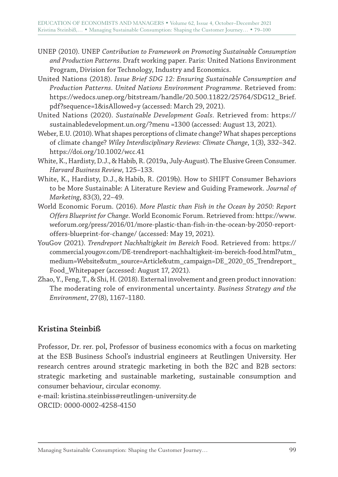- UNEP (2010). UNEP *Contribution to Framework on Promoting Sustainable Consumption and Production Patterns*. Draft working paper. Paris: United Nations Environment Program, Division for Technology, Industry and Economics.
- United Nations (2018). *Issue Brief SDG 12: Ensuring Sustainable Consumption and Production Patterns. United Nations Environment Programme*. Retrieved from: https://wedocs.unep.org/bitstream/handle/20.500.11822/25764/SDG12\_Brief. pdf?sequence=1&isAllowed=y (accessed: March 29, 2021).
- United Nations (2020). *Sustainable Development Goals*. Retrieved from: https:// sustainabledevelopment.un.org/?menu =1300 (accessed: August 13, 2021).
- Weber, E.U. (2010). What shapes perceptions of climate change? What shapes perceptions of climate change? *Wiley Interdisciplinary Reviews: Climate Change*, 1(3), 332–342. https://doi.org/10.1002/wcc.41
- White, K., Hardisty, D.J., & Habib, R. (2019a, July-August). The Elusive Green Consumer. *Harvard Business Review*, 125–133.
- White, K., Hardisty, D.J., & Habib, R. (2019b). How to SHIFT Consumer Behaviors to be More Sustainable: A Literature Review and Guiding Framework. *Journal of Marketing*, 83(3), 22–49.
- World Economic Forum. (2016). *More Plastic than Fish in the Ocean by 2050: Report Offers Blueprint for Change*. World Economic Forum. Retrieved from: https://www. weforum.org/press/2016/01/more-plastic-than-fish-in-the-ocean-by-2050-reportoffers-blueprint-for-change/ (accessed: May 19, 2021).
- YouGov (2021). *Trendreport Nachhaltigkeit im Bereich* Food. Retrieved from: https:// commercial.yougov.com/DE-trendreport-nachhaltigkeit-im-bereich-food.html?utm\_ medium=Website&utm\_source=Article&utm\_campaign=DE\_2020\_05\_Trendreport\_ Food\_Whitepaper (accessed: August 17, 2021).
- Zhao, Y., Feng, T., & Shi, H. (2018). External involvement and green product innovation: The moderating role of environmental uncertainty. *Business Strategy and the Environment*, 27(8), 1167–1180.

## **Kristina Steinbiß**

Professor, Dr. rer. pol, Professor of business economics with a focus on marketing at the ESB Business School's industrial engineers at Reutlingen University. Her research centres around strategic marketing in both the B2C and B2B sectors: strategic marketing and sustainable marketing, sustainable consumption and consumer behaviour, circular economy.

e-mail: kristina.steinbiss@reutlingen-university.de ORCID: 0000-0002-4258-4150